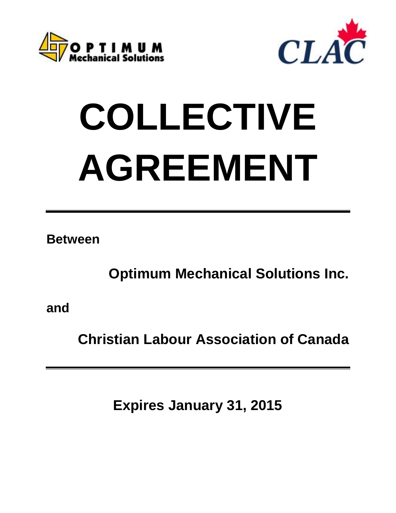



# **COLLECTIVE AGREEMENT**

**Between**

**Optimum Mechanical Solutions Inc.**

**and**

**Christian Labour Association of Canada**

**Expires January 31, 2015**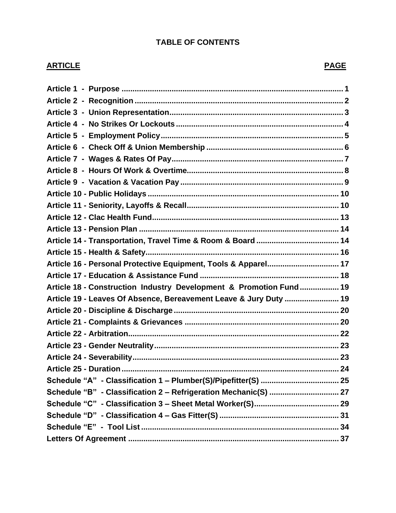# **TABLE OF CONTENTS**

# **ARTICLE PAGE**

| Article 16 - Personal Protective Equipment, Tools & Apparel 17     |  |
|--------------------------------------------------------------------|--|
|                                                                    |  |
| Article 18 - Construction Industry Development & Promotion Fund 19 |  |
| Article 19 - Leaves Of Absence, Bereavement Leave & Jury Duty  19  |  |
|                                                                    |  |
|                                                                    |  |
|                                                                    |  |
|                                                                    |  |
|                                                                    |  |
|                                                                    |  |
|                                                                    |  |
| Schedule "B" - Classification 2 - Refrigeration Mechanic(S)  27    |  |
|                                                                    |  |
|                                                                    |  |
|                                                                    |  |
|                                                                    |  |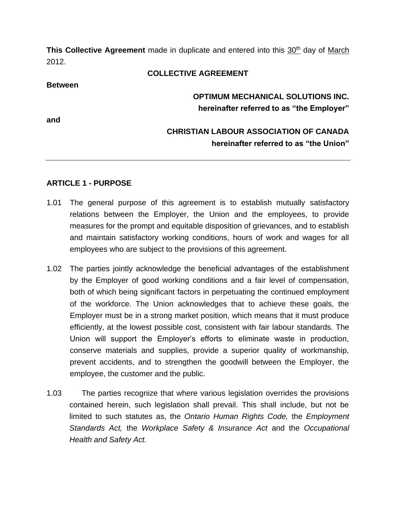**This Collective Agreement** made in duplicate and entered into this 30<sup>th</sup> day of March 2012.

#### **COLLECTIVE AGREEMENT**

#### **Between**

**and**

# **OPTIMUM MECHANICAL SOLUTIONS INC. hereinafter referred to as "the Employer"**

# **CHRISTIAN LABOUR ASSOCIATION OF CANADA hereinafter referred to as "the Union"**

#### <span id="page-2-0"></span>**ARTICLE 1 - PURPOSE**

- 1.01 The general purpose of this agreement is to establish mutually satisfactory relations between the Employer, the Union and the employees, to provide measures for the prompt and equitable disposition of grievances, and to establish and maintain satisfactory working conditions, hours of work and wages for all employees who are subject to the provisions of this agreement.
- 1.02 The parties jointly acknowledge the beneficial advantages of the establishment by the Employer of good working conditions and a fair level of compensation, both of which being significant factors in perpetuating the continued employment of the workforce. The Union acknowledges that to achieve these goals, the Employer must be in a strong market position, which means that it must produce efficiently, at the lowest possible cost, consistent with fair labour standards. The Union will support the Employer's efforts to eliminate waste in production, conserve materials and supplies, provide a superior quality of workmanship, prevent accidents, and to strengthen the goodwill between the Employer, the employee, the customer and the public.
- 1.03 The parties recognize that where various legislation overrides the provisions contained herein, such legislation shall prevail. This shall include, but not be limited to such statutes as, the *Ontario Human Rights Code,* the *Employment Standards Act,* the *Workplace Safety & Insurance Act* and the *Occupational Health and Safety Act.*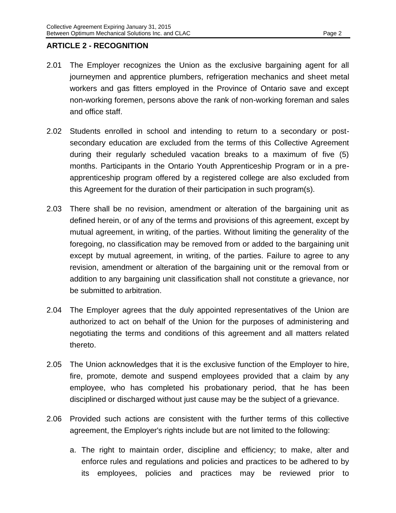#### <span id="page-3-0"></span>**ARTICLE 2 - RECOGNITION**

- 2.01 The Employer recognizes the Union as the exclusive bargaining agent for all journeymen and apprentice plumbers, refrigeration mechanics and sheet metal workers and gas fitters employed in the Province of Ontario save and except non-working foremen, persons above the rank of non-working foreman and sales and office staff.
- 2.02 Students enrolled in school and intending to return to a secondary or postsecondary education are excluded from the terms of this Collective Agreement during their regularly scheduled vacation breaks to a maximum of five (5) months. Participants in the Ontario Youth Apprenticeship Program or in a preapprenticeship program offered by a registered college are also excluded from this Agreement for the duration of their participation in such program(s).
- 2.03 There shall be no revision, amendment or alteration of the bargaining unit as defined herein, or of any of the terms and provisions of this agreement, except by mutual agreement, in writing, of the parties. Without limiting the generality of the foregoing, no classification may be removed from or added to the bargaining unit except by mutual agreement, in writing, of the parties. Failure to agree to any revision, amendment or alteration of the bargaining unit or the removal from or addition to any bargaining unit classification shall not constitute a grievance, nor be submitted to arbitration.
- 2.04 The Employer agrees that the duly appointed representatives of the Union are authorized to act on behalf of the Union for the purposes of administering and negotiating the terms and conditions of this agreement and all matters related thereto.
- 2.05 The Union acknowledges that it is the exclusive function of the Employer to hire, fire, promote, demote and suspend employees provided that a claim by any employee, who has completed his probationary period, that he has been disciplined or discharged without just cause may be the subject of a grievance.
- 2.06 Provided such actions are consistent with the further terms of this collective agreement, the Employer's rights include but are not limited to the following:
	- a. The right to maintain order, discipline and efficiency; to make, alter and enforce rules and regulations and policies and practices to be adhered to by its employees, policies and practices may be reviewed prior to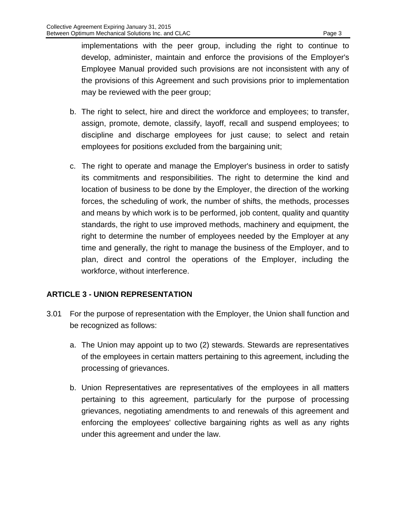implementations with the peer group, including the right to continue to develop, administer, maintain and enforce the provisions of the Employer's Employee Manual provided such provisions are not inconsistent with any of the provisions of this Agreement and such provisions prior to implementation may be reviewed with the peer group;

- b. The right to select, hire and direct the workforce and employees; to transfer, assign, promote, demote, classify, layoff, recall and suspend employees; to discipline and discharge employees for just cause; to select and retain employees for positions excluded from the bargaining unit;
- c. The right to operate and manage the Employer's business in order to satisfy its commitments and responsibilities. The right to determine the kind and location of business to be done by the Employer, the direction of the working forces, the scheduling of work, the number of shifts, the methods, processes and means by which work is to be performed, job content, quality and quantity standards, the right to use improved methods, machinery and equipment, the right to determine the number of employees needed by the Employer at any time and generally, the right to manage the business of the Employer, and to plan, direct and control the operations of the Employer, including the workforce, without interference.

# <span id="page-4-0"></span>**ARTICLE 3 - UNION REPRESENTATION**

- 3.01 For the purpose of representation with the Employer, the Union shall function and be recognized as follows:
	- a. The Union may appoint up to two (2) stewards. Stewards are representatives of the employees in certain matters pertaining to this agreement, including the processing of grievances.
	- b. Union Representatives are representatives of the employees in all matters pertaining to this agreement, particularly for the purpose of processing grievances, negotiating amendments to and renewals of this agreement and enforcing the employees' collective bargaining rights as well as any rights under this agreement and under the law.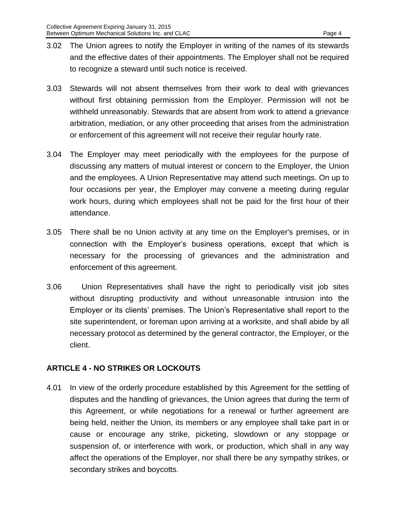- 3.02 The Union agrees to notify the Employer in writing of the names of its stewards and the effective dates of their appointments. The Employer shall not be required to recognize a steward until such notice is received.
- 3.03 Stewards will not absent themselves from their work to deal with grievances without first obtaining permission from the Employer. Permission will not be withheld unreasonably. Stewards that are absent from work to attend a grievance arbitration, mediation, or any other proceeding that arises from the administration or enforcement of this agreement will not receive their regular hourly rate.
- 3.04 The Employer may meet periodically with the employees for the purpose of discussing any matters of mutual interest or concern to the Employer, the Union and the employees. A Union Representative may attend such meetings. On up to four occasions per year, the Employer may convene a meeting during regular work hours, during which employees shall not be paid for the first hour of their attendance.
- 3.05 There shall be no Union activity at any time on the Employer's premises, or in connection with the Employer's business operations, except that which is necessary for the processing of grievances and the administration and enforcement of this agreement.
- 3.06 Union Representatives shall have the right to periodically visit job sites without disrupting productivity and without unreasonable intrusion into the Employer or its clients' premises. The Union's Representative shall report to the site superintendent, or foreman upon arriving at a worksite, and shall abide by all necessary protocol as determined by the general contractor, the Employer, or the client.

## <span id="page-5-0"></span>**ARTICLE 4 - NO STRIKES OR LOCKOUTS**

4.01 In view of the orderly procedure established by this Agreement for the settling of disputes and the handling of grievances, the Union agrees that during the term of this Agreement, or while negotiations for a renewal or further agreement are being held, neither the Union, its members or any employee shall take part in or cause or encourage any strike, picketing, slowdown or any stoppage or suspension of, or interference with work, or production, which shall in any way affect the operations of the Employer, nor shall there be any sympathy strikes, or secondary strikes and boycotts.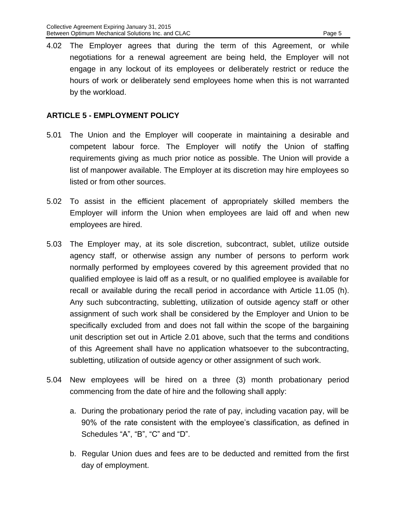4.02 The Employer agrees that during the term of this Agreement, or while negotiations for a renewal agreement are being held, the Employer will not engage in any lockout of its employees or deliberately restrict or reduce the hours of work or deliberately send employees home when this is not warranted by the workload.

#### <span id="page-6-0"></span>**ARTICLE 5 - EMPLOYMENT POLICY**

- 5.01 The Union and the Employer will cooperate in maintaining a desirable and competent labour force. The Employer will notify the Union of staffing requirements giving as much prior notice as possible. The Union will provide a list of manpower available. The Employer at its discretion may hire employees so listed or from other sources.
- 5.02 To assist in the efficient placement of appropriately skilled members the Employer will inform the Union when employees are laid off and when new employees are hired.
- 5.03 The Employer may, at its sole discretion, subcontract, sublet, utilize outside agency staff, or otherwise assign any number of persons to perform work normally performed by employees covered by this agreement provided that no qualified employee is laid off as a result, or no qualified employee is available for recall or available during the recall period in accordance with Article 11.05 (h). Any such subcontracting, subletting, utilization of outside agency staff or other assignment of such work shall be considered by the Employer and Union to be specifically excluded from and does not fall within the scope of the bargaining unit description set out in Article 2.01 above, such that the terms and conditions of this Agreement shall have no application whatsoever to the subcontracting, subletting, utilization of outside agency or other assignment of such work.
- 5.04 New employees will be hired on a three (3) month probationary period commencing from the date of hire and the following shall apply:
	- a. During the probationary period the rate of pay, including vacation pay, will be 90% of the rate consistent with the employee's classification, as defined in Schedules "A", "B", "C" and "D".
	- b. Regular Union dues and fees are to be deducted and remitted from the first day of employment.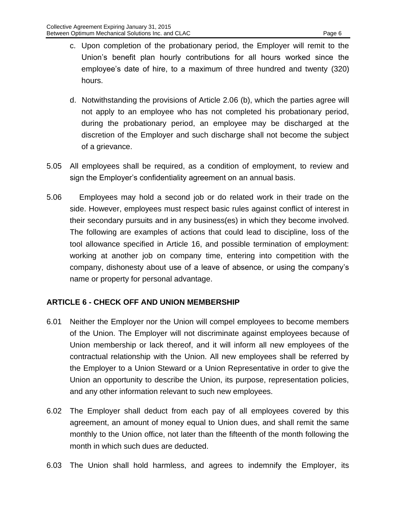- c. Upon completion of the probationary period, the Employer will remit to the Union's benefit plan hourly contributions for all hours worked since the employee's date of hire, to a maximum of three hundred and twenty (320) hours.
- d. Notwithstanding the provisions of Article 2.06 (b), which the parties agree will not apply to an employee who has not completed his probationary period, during the probationary period, an employee may be discharged at the discretion of the Employer and such discharge shall not become the subject of a grievance.
- 5.05 All employees shall be required, as a condition of employment, to review and sign the Employer's confidentiality agreement on an annual basis.
- 5.06 Employees may hold a second job or do related work in their trade on the side. However, employees must respect basic rules against conflict of interest in their secondary pursuits and in any business(es) in which they become involved. The following are examples of actions that could lead to discipline, loss of the tool allowance specified in Article 16, and possible termination of employment: working at another job on company time, entering into competition with the company, dishonesty about use of a leave of absence, or using the company's name or property for personal advantage.

## <span id="page-7-0"></span>**ARTICLE 6 - CHECK OFF AND UNION MEMBERSHIP**

- 6.01 Neither the Employer nor the Union will compel employees to become members of the Union. The Employer will not discriminate against employees because of Union membership or lack thereof, and it will inform all new employees of the contractual relationship with the Union. All new employees shall be referred by the Employer to a Union Steward or a Union Representative in order to give the Union an opportunity to describe the Union, its purpose, representation policies, and any other information relevant to such new employees.
- 6.02 The Employer shall deduct from each pay of all employees covered by this agreement, an amount of money equal to Union dues, and shall remit the same monthly to the Union office, not later than the fifteenth of the month following the month in which such dues are deducted.
- 6.03 The Union shall hold harmless, and agrees to indemnify the Employer, its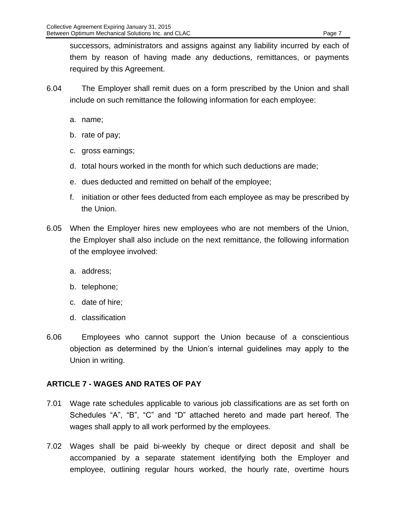successors, administrators and assigns against any liability incurred by each of them by reason of having made any deductions, remittances, or payments required by this Agreement.

- 6.04 The Employer shall remit dues on a form prescribed by the Union and shall include on such remittance the following information for each employee:
	- a. name;
	- b. rate of pay;
	- c. gross earnings;
	- d. total hours worked in the month for which such deductions are made;
	- e. dues deducted and remitted on behalf of the employee;
	- f. initiation or other fees deducted from each employee as may be prescribed by the Union.
- 6.05 When the Employer hires new employees who are not members of the Union, the Employer shall also include on the next remittance, the following information of the employee involved:
	- a. address;
	- b. telephone;
	- c. date of hire;
	- d. classification
- 6.06 Employees who cannot support the Union because of a conscientious objection as determined by the Union's internal guidelines may apply to the Union in writing.

## <span id="page-8-0"></span>**ARTICLE 7 - WAGES AND RATES OF PAY**

- 7.01 Wage rate schedules applicable to various job classifications are as set forth on Schedules "A", "B", "C" and "D" attached hereto and made part hereof. The wages shall apply to all work performed by the employees.
- 7.02 Wages shall be paid bi-weekly by cheque or direct deposit and shall be accompanied by a separate statement identifying both the Employer and employee, outlining regular hours worked, the hourly rate, overtime hours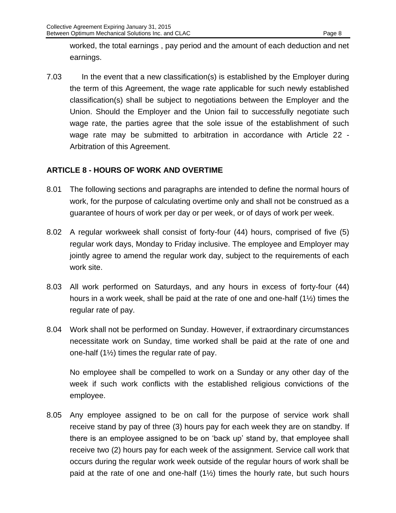worked, the total earnings , pay period and the amount of each deduction and net earnings.

7.03 In the event that a new classification(s) is established by the Employer during the term of this Agreement, the wage rate applicable for such newly established classification(s) shall be subject to negotiations between the Employer and the Union. Should the Employer and the Union fail to successfully negotiate such wage rate, the parties agree that the sole issue of the establishment of such wage rate may be submitted to arbitration in accordance with Article 22 - Arbitration of this Agreement.

## <span id="page-9-0"></span>**ARTICLE 8 - HOURS OF WORK AND OVERTIME**

- 8.01 The following sections and paragraphs are intended to define the normal hours of work, for the purpose of calculating overtime only and shall not be construed as a guarantee of hours of work per day or per week, or of days of work per week.
- 8.02 A regular workweek shall consist of forty-four (44) hours, comprised of five (5) regular work days, Monday to Friday inclusive. The employee and Employer may jointly agree to amend the regular work day, subject to the requirements of each work site.
- 8.03 All work performed on Saturdays, and any hours in excess of forty-four (44) hours in a work week, shall be paid at the rate of one and one-half (1½) times the regular rate of pay.
- 8.04 Work shall not be performed on Sunday. However, if extraordinary circumstances necessitate work on Sunday, time worked shall be paid at the rate of one and one-half  $(1\frac{1}{2})$  times the regular rate of pay.

No employee shall be compelled to work on a Sunday or any other day of the week if such work conflicts with the established religious convictions of the employee.

8.05 Any employee assigned to be on call for the purpose of service work shall receive stand by pay of three (3) hours pay for each week they are on standby. If there is an employee assigned to be on 'back up' stand by, that employee shall receive two (2) hours pay for each week of the assignment. Service call work that occurs during the regular work week outside of the regular hours of work shall be paid at the rate of one and one-half (1½) times the hourly rate, but such hours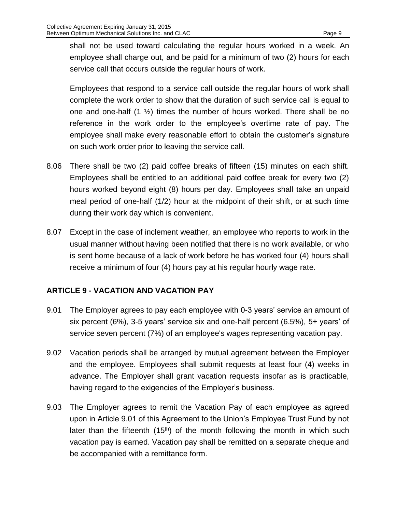shall not be used toward calculating the regular hours worked in a week. An employee shall charge out, and be paid for a minimum of two (2) hours for each service call that occurs outside the regular hours of work.

Employees that respond to a service call outside the regular hours of work shall complete the work order to show that the duration of such service call is equal to one and one-half  $(1 \frac{1}{2})$  times the number of hours worked. There shall be no reference in the work order to the employee's overtime rate of pay. The employee shall make every reasonable effort to obtain the customer's signature on such work order prior to leaving the service call.

- 8.06 There shall be two (2) paid coffee breaks of fifteen (15) minutes on each shift. Employees shall be entitled to an additional paid coffee break for every two (2) hours worked beyond eight (8) hours per day. Employees shall take an unpaid meal period of one-half (1/2) hour at the midpoint of their shift, or at such time during their work day which is convenient.
- 8.07 Except in the case of inclement weather, an employee who reports to work in the usual manner without having been notified that there is no work available, or who is sent home because of a lack of work before he has worked four (4) hours shall receive a minimum of four (4) hours pay at his regular hourly wage rate.

# <span id="page-10-0"></span>**ARTICLE 9 - VACATION AND VACATION PAY**

- 9.01 The Employer agrees to pay each employee with 0-3 years' service an amount of six percent (6%), 3-5 years' service six and one-half percent (6.5%), 5+ years' of service seven percent (7%) of an employee's wages representing vacation pay.
- 9.02 Vacation periods shall be arranged by mutual agreement between the Employer and the employee. Employees shall submit requests at least four (4) weeks in advance. The Employer shall grant vacation requests insofar as is practicable, having regard to the exigencies of the Employer's business.
- 9.03 The Employer agrees to remit the Vacation Pay of each employee as agreed upon in Article 9.01 of this Agreement to the Union's Employee Trust Fund by not later than the fifteenth  $(15<sup>th</sup>)$  of the month following the month in which such vacation pay is earned. Vacation pay shall be remitted on a separate cheque and be accompanied with a remittance form.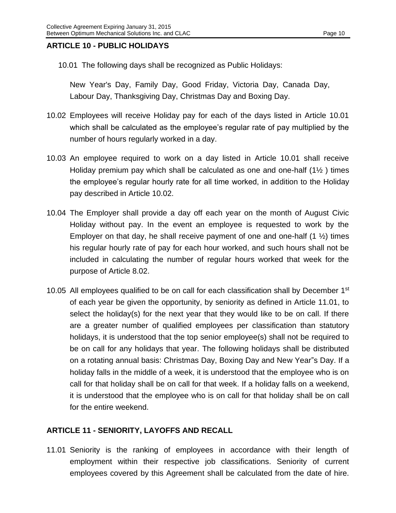#### <span id="page-11-0"></span>**ARTICLE 10 - PUBLIC HOLIDAYS**

10.01 The following days shall be recognized as Public Holidays:

New Year's Day, Family Day, Good Friday, Victoria Day, Canada Day, Labour Day, Thanksgiving Day, Christmas Day and Boxing Day.

- 10.02 Employees will receive Holiday pay for each of the days listed in Article 10.01 which shall be calculated as the employee's regular rate of pay multiplied by the number of hours regularly worked in a day.
- 10.03 An employee required to work on a day listed in Article 10.01 shall receive Holiday premium pay which shall be calculated as one and one-half (1½ ) times the employee's regular hourly rate for all time worked, in addition to the Holiday pay described in Article 10.02.
- 10.04 The Employer shall provide a day off each year on the month of August Civic Holiday without pay. In the event an employee is requested to work by the Employer on that day, he shall receive payment of one and one-half  $(1 \frac{1}{2})$  times his regular hourly rate of pay for each hour worked, and such hours shall not be included in calculating the number of regular hours worked that week for the purpose of Article 8.02.
- 10.05 All employees qualified to be on call for each classification shall by December 1<sup>st</sup> of each year be given the opportunity, by seniority as defined in Article 11.01, to select the holiday(s) for the next year that they would like to be on call. If there are a greater number of qualified employees per classification than statutory holidays, it is understood that the top senior employee(s) shall not be required to be on call for any holidays that year. The following holidays shall be distributed on a rotating annual basis: Christmas Day, Boxing Day and New Year"s Day. If a holiday falls in the middle of a week, it is understood that the employee who is on call for that holiday shall be on call for that week. If a holiday falls on a weekend, it is understood that the employee who is on call for that holiday shall be on call for the entire weekend.

## <span id="page-11-1"></span>**ARTICLE 11 - SENIORITY, LAYOFFS AND RECALL**

11.01 Seniority is the ranking of employees in accordance with their length of employment within their respective job classifications. Seniority of current employees covered by this Agreement shall be calculated from the date of hire.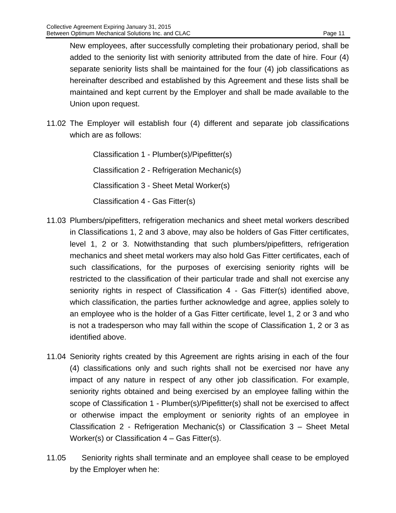New employees, after successfully completing their probationary period, shall be added to the seniority list with seniority attributed from the date of hire. Four (4) separate seniority lists shall be maintained for the four (4) job classifications as hereinafter described and established by this Agreement and these lists shall be maintained and kept current by the Employer and shall be made available to the Union upon request.

11.02 The Employer will establish four (4) different and separate job classifications which are as follows:

> Classification 1 - Plumber(s)/Pipefitter(s) Classification 2 - Refrigeration Mechanic(s) Classification 3 - Sheet Metal Worker(s) Classification 4 - Gas Fitter(s)

- 11.03 Plumbers/pipefitters, refrigeration mechanics and sheet metal workers described in Classifications 1, 2 and 3 above, may also be holders of Gas Fitter certificates, level 1, 2 or 3. Notwithstanding that such plumbers/pipefitters, refrigeration mechanics and sheet metal workers may also hold Gas Fitter certificates, each of such classifications, for the purposes of exercising seniority rights will be restricted to the classification of their particular trade and shall not exercise any seniority rights in respect of Classification 4 - Gas Fitter(s) identified above, which classification, the parties further acknowledge and agree, applies solely to an employee who is the holder of a Gas Fitter certificate, level 1, 2 or 3 and who is not a tradesperson who may fall within the scope of Classification 1, 2 or 3 as identified above.
- 11.04 Seniority rights created by this Agreement are rights arising in each of the four (4) classifications only and such rights shall not be exercised nor have any impact of any nature in respect of any other job classification. For example, seniority rights obtained and being exercised by an employee falling within the scope of Classification 1 - Plumber(s)/Pipefitter(s) shall not be exercised to affect or otherwise impact the employment or seniority rights of an employee in Classification 2 - Refrigeration Mechanic(s) or Classification 3 – Sheet Metal Worker(s) or Classification 4 – Gas Fitter(s).
- 11.05 Seniority rights shall terminate and an employee shall cease to be employed by the Employer when he: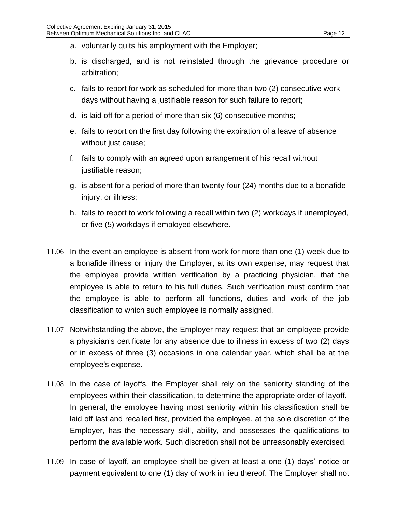- a. voluntarily quits his employment with the Employer;
- b. is discharged, and is not reinstated through the grievance procedure or arbitration;
- c. fails to report for work as scheduled for more than two (2) consecutive work days without having a justifiable reason for such failure to report;
- d. is laid off for a period of more than six (6) consecutive months;
- e. fails to report on the first day following the expiration of a leave of absence without just cause;
- f. fails to comply with an agreed upon arrangement of his recall without justifiable reason;
- g. is absent for a period of more than twenty-four (24) months due to a bonafide injury, or illness;
- h. fails to report to work following a recall within two (2) workdays if unemployed, or five (5) workdays if employed elsewhere.
- 11.06 In the event an employee is absent from work for more than one (1) week due to a bonafide illness or injury the Employer, at its own expense, may request that the employee provide written verification by a practicing physician, that the employee is able to return to his full duties. Such verification must confirm that the employee is able to perform all functions, duties and work of the job classification to which such employee is normally assigned.
- 11.07 Notwithstanding the above, the Employer may request that an employee provide a physician's certificate for any absence due to illness in excess of two (2) days or in excess of three (3) occasions in one calendar year, which shall be at the employee's expense.
- 11.08 In the case of layoffs, the Employer shall rely on the seniority standing of the employees within their classification, to determine the appropriate order of layoff. In general, the employee having most seniority within his classification shall be laid off last and recalled first, provided the employee, at the sole discretion of the Employer, has the necessary skill, ability, and possesses the qualifications to perform the available work. Such discretion shall not be unreasonably exercised.
- 11.09 In case of layoff, an employee shall be given at least a one (1) days' notice or payment equivalent to one (1) day of work in lieu thereof. The Employer shall not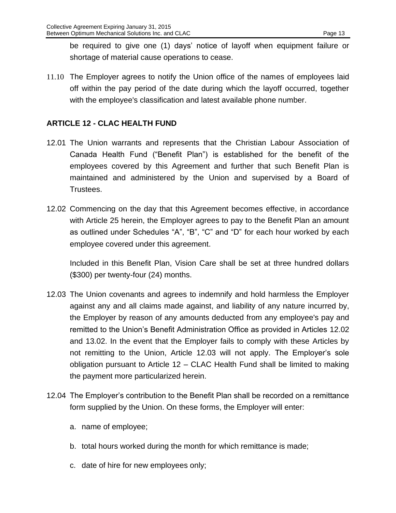be required to give one (1) days' notice of layoff when equipment failure or shortage of material cause operations to cease.

11.10 The Employer agrees to notify the Union office of the names of employees laid off within the pay period of the date during which the layoff occurred, together with the employee's classification and latest available phone number.

# <span id="page-14-0"></span>**ARTICLE 12 - CLAC HEALTH FUND**

- 12.01 The Union warrants and represents that the Christian Labour Association of Canada Health Fund ("Benefit Plan") is established for the benefit of the employees covered by this Agreement and further that such Benefit Plan is maintained and administered by the Union and supervised by a Board of Trustees.
- 12.02 Commencing on the day that this Agreement becomes effective, in accordance with Article 25 herein, the Employer agrees to pay to the Benefit Plan an amount as outlined under Schedules "A", "B", "C" and "D" for each hour worked by each employee covered under this agreement.

<span id="page-14-1"></span>Included in this Benefit Plan, Vision Care shall be set at three hundred dollars (\$300) per twenty-four (24) months.

- 12.03 The Union covenants and agrees to indemnify and hold harmless the Employer against any and all claims made against, and liability of any nature incurred by, the Employer by reason of any amounts deducted from any employee's pay and remitted to the Union's Benefit Administration Office as provided in Articles [12.02](#page-14-1) and [13.02.](#page-15-2) In the event that the Employer fails to comply with these Articles by not remitting to the Union, Article 12.03 will not apply. The Employer's sole obligation pursuant to Article 12 – CLAC Health Fund shall be limited to making the payment more particularized herein.
- 12.04 The Employer's contribution to the Benefit Plan shall be recorded on a remittance form supplied by the Union. On these forms, the Employer will enter:
	- a. name of employee;
	- b. total hours worked during the month for which remittance is made;
	- c. date of hire for new employees only;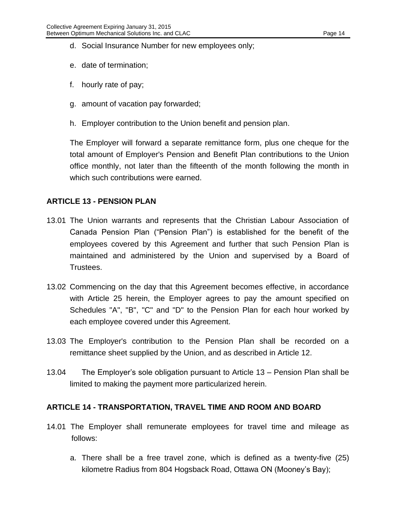- d. Social Insurance Number for new employees only;
- e. date of termination;
- f. hourly rate of pay;
- g. amount of vacation pay forwarded;
- h. Employer contribution to the Union benefit and pension plan.

The Employer will forward a separate remittance form, plus one cheque for the total amount of Employer's Pension and Benefit Plan contributions to the Union office monthly, not later than the fifteenth of the month following the month in which such contributions were earned.

#### <span id="page-15-0"></span>**ARTICLE 13 - PENSION PLAN**

- 13.01 The Union warrants and represents that the Christian Labour Association of Canada Pension Plan ("Pension Plan") is established for the benefit of the employees covered by this Agreement and further that such Pension Plan is maintained and administered by the Union and supervised by a Board of Trustees.
- <span id="page-15-2"></span>13.02 Commencing on the day that this Agreement becomes effective, in accordance with Article 25 herein, the Employer agrees to pay the amount specified on Schedules "A", "B", "C" and "D" to the Pension Plan for each hour worked by each employee covered under this Agreement.
- 13.03 The Employer's contribution to the Pension Plan shall be recorded on a remittance sheet supplied by the Union, and as described in Article 12.
- 13.04 The Employer's sole obligation pursuant to Article 13 Pension Plan shall be limited to making the payment more particularized herein.

#### <span id="page-15-1"></span>**ARTICLE 14 - TRANSPORTATION, TRAVEL TIME AND ROOM AND BOARD**

- 14.01 The Employer shall remunerate employees for travel time and mileage as follows:
	- a. There shall be a free travel zone, which is defined as a twenty-five (25) kilometre Radius from 804 Hogsback Road, Ottawa ON (Mooney's Bay);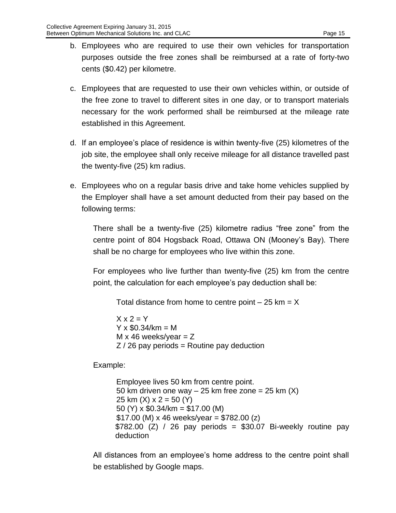- b. Employees who are required to use their own vehicles for transportation purposes outside the free zones shall be reimbursed at a rate of forty-two cents (\$0.42) per kilometre.
- c. Employees that are requested to use their own vehicles within, or outside of the free zone to travel to different sites in one day, or to transport materials necessary for the work performed shall be reimbursed at the mileage rate established in this Agreement.
- d. If an employee's place of residence is within twenty-five (25) kilometres of the job site, the employee shall only receive mileage for all distance travelled past the twenty-five (25) km radius.
- e. Employees who on a regular basis drive and take home vehicles supplied by the Employer shall have a set amount deducted from their pay based on the following terms:

There shall be a twenty-five (25) kilometre radius "free zone" from the centre point of 804 Hogsback Road, Ottawa ON (Mooney's Bay). There shall be no charge for employees who live within this zone.

For employees who live further than twenty-five (25) km from the centre point, the calculation for each employee's pay deduction shall be:

Total distance from home to centre point  $-25$  km = X

 $X \times 2 = Y$  $Y \times $0.34/km = M$  $M \times 46$  weeks/year = Z  $Z/26$  pay periods = Routine pay deduction

Example:

Employee lives 50 km from centre point. 50 km driven one way  $-25$  km free zone = 25 km  $(X)$ 25 km  $(X)$  x 2 = 50  $(Y)$ 50 (Y) x \$0.34/km = \$17.00 (M)  $$17.00$  (M) x 46 weeks/year = \$782.00 (z)  $$782.00$  (Z) / 26 pay periods =  $$30.07$  Bi-weekly routine pay deduction

All distances from an employee's home address to the centre point shall be established by Google maps.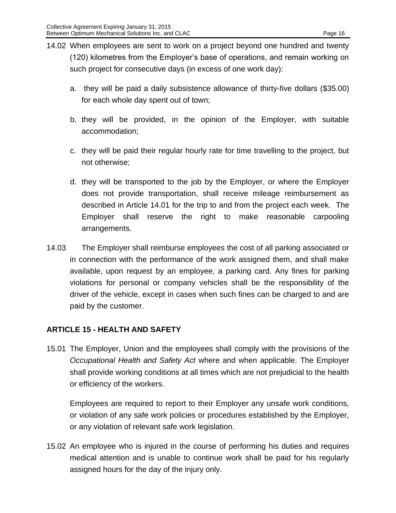- 14.02 When employees are sent to work on a project beyond one hundred and twenty (120) kilometres from the Employer's base of operations, and remain working on such project for consecutive days (in excess of one work day):
	- a. they will be paid a daily subsistence allowance of thirty-five dollars (\$35.00) for each whole day spent out of town;
	- b. they will be provided, in the opinion of the Employer, with suitable accommodation;
	- c. they will be paid their regular hourly rate for time travelling to the project, but not otherwise;
	- d. they will be transported to the job by the Employer, or where the Employer does not provide transportation, shall receive mileage reimbursement as described in Article 14.01 for the trip to and from the project each week. The Employer shall reserve the right to make reasonable carpooling arrangements.
- 14.03 The Employer shall reimburse employees the cost of all parking associated or in connection with the performance of the work assigned them, and shall make available, upon request by an employee, a parking card. Any fines for parking violations for personal or company vehicles shall be the responsibility of the driver of the vehicle, except in cases when such fines can be charged to and are paid by the customer.

## <span id="page-17-0"></span>**ARTICLE 15 - HEALTH AND SAFETY**

15.01 The Employer, Union and the employees shall comply with the provisions of the *Occupational Health and Safety Act* where and when applicable. The Employer shall provide working conditions at all times which are not prejudicial to the health or efficiency of the workers.

Employees are required to report to their Employer any unsafe work conditions, or violation of any safe work policies or procedures established by the Employer, or any violation of relevant safe work legislation.

15.02 An employee who is injured in the course of performing his duties and requires medical attention and is unable to continue work shall be paid for his regularly assigned hours for the day of the injury only.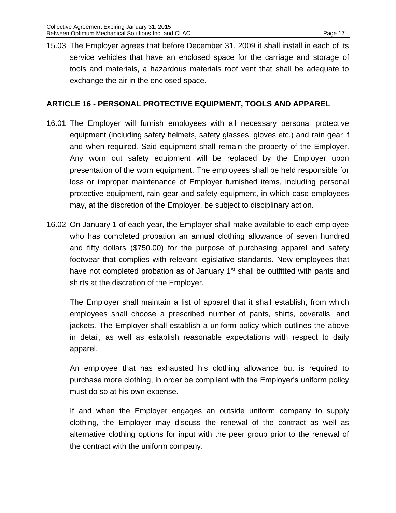15.03 The Employer agrees that before December 31, 2009 it shall install in each of its service vehicles that have an enclosed space for the carriage and storage of tools and materials, a hazardous materials roof vent that shall be adequate to exchange the air in the enclosed space.

#### <span id="page-18-0"></span>**ARTICLE 16 - PERSONAL PROTECTIVE EQUIPMENT, TOOLS AND APPAREL**

- 16.01 The Employer will furnish employees with all necessary personal protective equipment (including safety helmets, safety glasses, gloves etc.) and rain gear if and when required. Said equipment shall remain the property of the Employer. Any worn out safety equipment will be replaced by the Employer upon presentation of the worn equipment. The employees shall be held responsible for loss or improper maintenance of Employer furnished items, including personal protective equipment, rain gear and safety equipment, in which case employees may, at the discretion of the Employer, be subject to disciplinary action.
- 16.02 On January 1 of each year, the Employer shall make available to each employee who has completed probation an annual clothing allowance of seven hundred and fifty dollars (\$750.00) for the purpose of purchasing apparel and safety footwear that complies with relevant legislative standards. New employees that have not completed probation as of January  $1<sup>st</sup>$  shall be outfitted with pants and shirts at the discretion of the Employer.

The Employer shall maintain a list of apparel that it shall establish, from which employees shall choose a prescribed number of pants, shirts, coveralls, and jackets. The Employer shall establish a uniform policy which outlines the above in detail, as well as establish reasonable expectations with respect to daily apparel.

An employee that has exhausted his clothing allowance but is required to purchase more clothing, in order be compliant with the Employer's uniform policy must do so at his own expense.

If and when the Employer engages an outside uniform company to supply clothing, the Employer may discuss the renewal of the contract as well as alternative clothing options for input with the peer group prior to the renewal of the contract with the uniform company.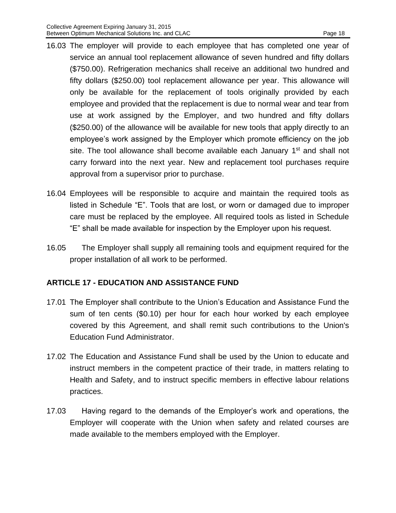- 16.03 The employer will provide to each employee that has completed one year of service an annual tool replacement allowance of seven hundred and fifty dollars (\$750.00). Refrigeration mechanics shall receive an additional two hundred and fifty dollars (\$250.00) tool replacement allowance per year. This allowance will only be available for the replacement of tools originally provided by each employee and provided that the replacement is due to normal wear and tear from use at work assigned by the Employer, and two hundred and fifty dollars (\$250.00) of the allowance will be available for new tools that apply directly to an employee's work assigned by the Employer which promote efficiency on the job site. The tool allowance shall become available each January 1<sup>st</sup> and shall not carry forward into the next year. New and replacement tool purchases require approval from a supervisor prior to purchase.
- 16.04 Employees will be responsible to acquire and maintain the required tools as listed in Schedule "E". Tools that are lost, or worn or damaged due to improper care must be replaced by the employee. All required tools as listed in Schedule "E" shall be made available for inspection by the Employer upon his request.
- 16.05 The Employer shall supply all remaining tools and equipment required for the proper installation of all work to be performed.

# <span id="page-19-0"></span>**ARTICLE 17 - EDUCATION AND ASSISTANCE FUND**

- 17.01 The Employer shall contribute to the Union's Education and Assistance Fund the sum of ten cents (\$0.10) per hour for each hour worked by each employee covered by this Agreement, and shall remit such contributions to the Union's Education Fund Administrator.
- 17.02 The Education and Assistance Fund shall be used by the Union to educate and instruct members in the competent practice of their trade, in matters relating to Health and Safety, and to instruct specific members in effective labour relations practices.
- 17.03 Having regard to the demands of the Employer's work and operations, the Employer will cooperate with the Union when safety and related courses are made available to the members employed with the Employer.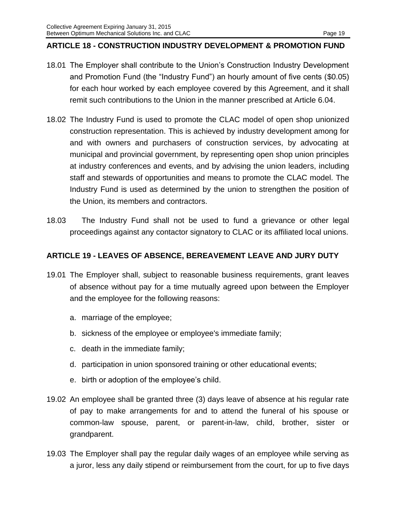#### <span id="page-20-0"></span>**ARTICLE 18 - CONSTRUCTION INDUSTRY DEVELOPMENT & PROMOTION FUND**

- 18.01 The Employer shall contribute to the Union's Construction Industry Development and Promotion Fund (the "Industry Fund") an hourly amount of five cents (\$0.05) for each hour worked by each employee covered by this Agreement, and it shall remit such contributions to the Union in the manner prescribed at Article 6.04.
- 18.02 The Industry Fund is used to promote the CLAC model of open shop unionized construction representation. This is achieved by industry development among for and with owners and purchasers of construction services, by advocating at municipal and provincial government, by representing open shop union principles at industry conferences and events, and by advising the union leaders, including staff and stewards of opportunities and means to promote the CLAC model. The Industry Fund is used as determined by the union to strengthen the position of the Union, its members and contractors.
- 18.03 The Industry Fund shall not be used to fund a grievance or other legal proceedings against any contactor signatory to CLAC or its affiliated local unions.

## <span id="page-20-1"></span>**ARTICLE 19 - LEAVES OF ABSENCE, BEREAVEMENT LEAVE AND JURY DUTY**

- 19.01 The Employer shall, subject to reasonable business requirements, grant leaves of absence without pay for a time mutually agreed upon between the Employer and the employee for the following reasons:
	- a. marriage of the employee;
	- b. sickness of the employee or employee's immediate family;
	- c. death in the immediate family;
	- d. participation in union sponsored training or other educational events;
	- e. birth or adoption of the employee's child.
- 19.02 An employee shall be granted three (3) days leave of absence at his regular rate of pay to make arrangements for and to attend the funeral of his spouse or common-law spouse, parent, or parent-in-law, child, brother, sister or grandparent.
- 19.03 The Employer shall pay the regular daily wages of an employee while serving as a juror, less any daily stipend or reimbursement from the court, for up to five days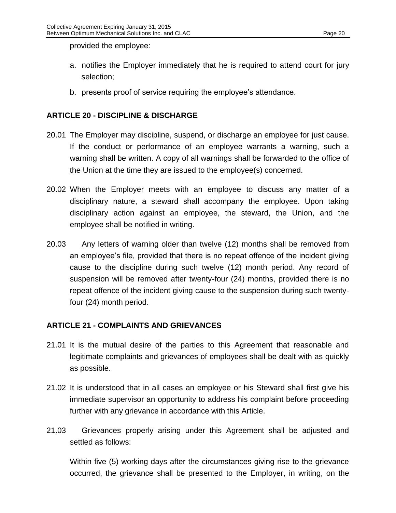provided the employee:

- a. notifies the Employer immediately that he is required to attend court for jury selection;
- b. presents proof of service requiring the employee's attendance.

# <span id="page-21-0"></span>**ARTICLE 20 - DISCIPLINE & DISCHARGE**

- 20.01 The Employer may discipline, suspend, or discharge an employee for just cause. If the conduct or performance of an employee warrants a warning, such a warning shall be written. A copy of all warnings shall be forwarded to the office of the Union at the time they are issued to the employee(s) concerned.
- 20.02 When the Employer meets with an employee to discuss any matter of a disciplinary nature, a steward shall accompany the employee. Upon taking disciplinary action against an employee, the steward, the Union, and the employee shall be notified in writing.
- 20.03 Any letters of warning older than twelve (12) months shall be removed from an employee's file, provided that there is no repeat offence of the incident giving cause to the discipline during such twelve (12) month period. Any record of suspension will be removed after twenty-four (24) months, provided there is no repeat offence of the incident giving cause to the suspension during such twentyfour (24) month period.

## <span id="page-21-1"></span>**ARTICLE 21 - COMPLAINTS AND GRIEVANCES**

- 21.01 It is the mutual desire of the parties to this Agreement that reasonable and legitimate complaints and grievances of employees shall be dealt with as quickly as possible.
- 21.02 It is understood that in all cases an employee or his Steward shall first give his immediate supervisor an opportunity to address his complaint before proceeding further with any grievance in accordance with this Article.
- 21.03 Grievances properly arising under this Agreement shall be adjusted and settled as follows:

Within five (5) working days after the circumstances giving rise to the grievance occurred, the grievance shall be presented to the Employer, in writing, on the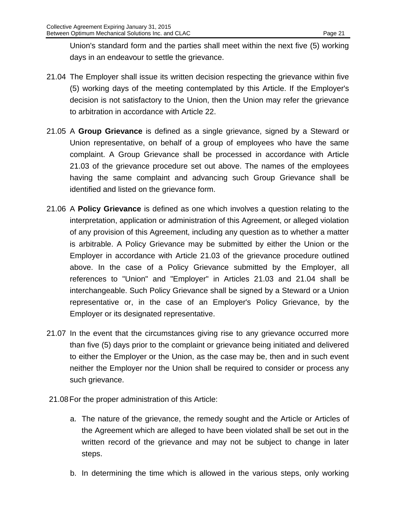Union's standard form and the parties shall meet within the next five (5) working days in an endeavour to settle the grievance.

- 21.04 The Employer shall issue its written decision respecting the grievance within five (5) working days of the meeting contemplated by this Article. If the Employer's decision is not satisfactory to the Union, then the Union may refer the grievance to arbitration in accordance with Article 22.
- 21.05 A **Group Grievance** is defined as a single grievance, signed by a Steward or Union representative, on behalf of a group of employees who have the same complaint. A Group Grievance shall be processed in accordance with Article 21.03 of the grievance procedure set out above. The names of the employees having the same complaint and advancing such Group Grievance shall be identified and listed on the grievance form.
- 21.06 A **Policy Grievance** is defined as one which involves a question relating to the interpretation, application or administration of this Agreement, or alleged violation of any provision of this Agreement, including any question as to whether a matter is arbitrable. A Policy Grievance may be submitted by either the Union or the Employer in accordance with Article 21.03 of the grievance procedure outlined above. In the case of a Policy Grievance submitted by the Employer, all references to "Union" and "Employer" in Articles 21.03 and 21.04 shall be interchangeable. Such Policy Grievance shall be signed by a Steward or a Union representative or, in the case of an Employer's Policy Grievance, by the Employer or its designated representative.
- 21.07 In the event that the circumstances giving rise to any grievance occurred more than five (5) days prior to the complaint or grievance being initiated and delivered to either the Employer or the Union, as the case may be, then and in such event neither the Employer nor the Union shall be required to consider or process any such grievance.
- 21.08For the proper administration of this Article:
	- a. The nature of the grievance, the remedy sought and the Article or Articles of the Agreement which are alleged to have been violated shall be set out in the written record of the grievance and may not be subject to change in later steps.
	- b. In determining the time which is allowed in the various steps, only working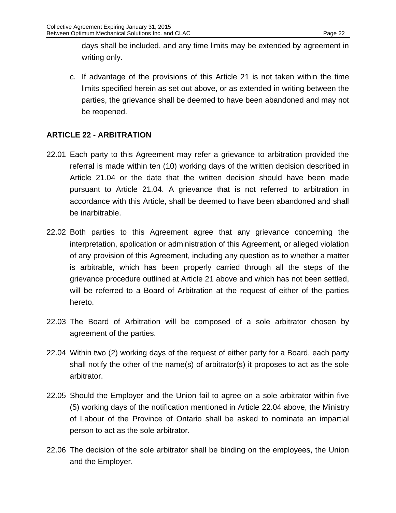days shall be included, and any time limits may be extended by agreement in writing only.

c. If advantage of the provisions of this Article 21 is not taken within the time limits specified herein as set out above, or as extended in writing between the parties, the grievance shall be deemed to have been abandoned and may not be reopened.

# <span id="page-23-0"></span>**ARTICLE 22 - ARBITRATION**

- 22.01 Each party to this Agreement may refer a grievance to arbitration provided the referral is made within ten (10) working days of the written decision described in Article 21.04 or the date that the written decision should have been made pursuant to Article 21.04. A grievance that is not referred to arbitration in accordance with this Article, shall be deemed to have been abandoned and shall be inarbitrable.
- 22.02 Both parties to this Agreement agree that any grievance concerning the interpretation, application or administration of this Agreement, or alleged violation of any provision of this Agreement, including any question as to whether a matter is arbitrable, which has been properly carried through all the steps of the grievance procedure outlined at Article 21 above and which has not been settled, will be referred to a Board of Arbitration at the request of either of the parties hereto.
- 22.03 The Board of Arbitration will be composed of a sole arbitrator chosen by agreement of the parties.
- 22.04 Within two (2) working days of the request of either party for a Board, each party shall notify the other of the name(s) of arbitrator(s) it proposes to act as the sole arbitrator.
- 22.05 Should the Employer and the Union fail to agree on a sole arbitrator within five (5) working days of the notification mentioned in Article 22.04 above, the Ministry of Labour of the Province of Ontario shall be asked to nominate an impartial person to act as the sole arbitrator.
- 22.06 The decision of the sole arbitrator shall be binding on the employees, the Union and the Employer.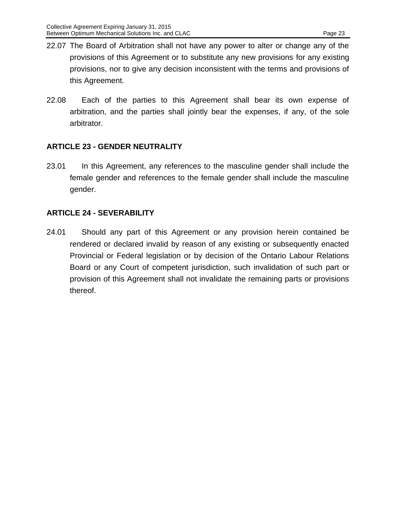- 22.07 The Board of Arbitration shall not have any power to alter or change any of the provisions of this Agreement or to substitute any new provisions for any existing provisions, nor to give any decision inconsistent with the terms and provisions of this Agreement.
- 22.08 Each of the parties to this Agreement shall bear its own expense of arbitration, and the parties shall jointly bear the expenses, if any, of the sole arbitrator.

# <span id="page-24-0"></span>**ARTICLE 23 - GENDER NEUTRALITY**

23.01 In this Agreement, any references to the masculine gender shall include the female gender and references to the female gender shall include the masculine gender.

# <span id="page-24-1"></span>**ARTICLE 24 - SEVERABILITY**

24.01 Should any part of this Agreement or any provision herein contained be rendered or declared invalid by reason of any existing or subsequently enacted Provincial or Federal legislation or by decision of the Ontario Labour Relations Board or any Court of competent jurisdiction, such invalidation of such part or provision of this Agreement shall not invalidate the remaining parts or provisions thereof.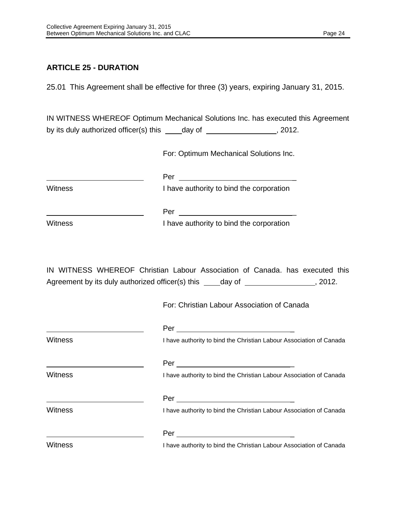# <span id="page-25-0"></span>**ARTICLE 25 - DURATION**

25.01 This Agreement shall be effective for three (3) years, expiring January 31, 2015.

IN WITNESS WHEREOF Optimum Mechanical Solutions Inc. has executed this Agreement by its duly authorized officer(s) this  $\_\_\_\_day$  of  $\_\_\_\_\_\_\_$ , 2012.

For: Optimum Mechanical Solutions Inc.

| <b>Witness</b> | I have authority to bind the corporation                                                                                                                               |
|----------------|------------------------------------------------------------------------------------------------------------------------------------------------------------------------|
|                |                                                                                                                                                                        |
| Witness        | I have authority to bind the corporation                                                                                                                               |
|                |                                                                                                                                                                        |
|                | IN WITNESS WHEREOF Christian Labour Association of Canada. has executed this<br>Agreement by its duly authorized officer(s) this _____day of __________________, 2012. |
|                | For: Christian Labour Association of Canada                                                                                                                            |
|                |                                                                                                                                                                        |
| <b>Witness</b> | I have authority to bind the Christian Labour Association of Canada                                                                                                    |
|                |                                                                                                                                                                        |
| Witness        | I have authority to bind the Christian Labour Association of Canada                                                                                                    |
|                |                                                                                                                                                                        |
| Witness        | I have authority to bind the Christian Labour Association of Canada                                                                                                    |
|                |                                                                                                                                                                        |
| <b>Witness</b> | I have authority to bind the Christian Labour Association of Canada                                                                                                    |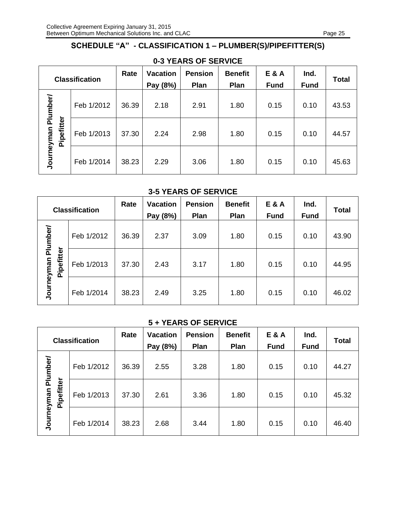# <span id="page-26-0"></span>**SCHEDULE "A" - CLASSIFICATION 1 – PLUMBER(S)/PIPEFITTER(S)**

| <b>Classification</b> |            | Rate  | <b>Vacation</b><br>Pay (8%) | <b>Pension</b><br>Plan | <b>Benefit</b><br>Plan | <b>E&amp;A</b><br><b>Fund</b> | Ind.<br><b>Fund</b> | <b>Total</b> |
|-----------------------|------------|-------|-----------------------------|------------------------|------------------------|-------------------------------|---------------------|--------------|
| Plumber/              | Feb 1/2012 | 36.39 | 2.18                        | 2.91                   | 1.80                   | 0.15                          | 0.10                | 43.53        |
| Pipefitter            | Feb 1/2013 | 37.30 | 2.24                        | 2.98                   | 1.80                   | 0.15                          | 0.10                | 44.57        |
| Journeyman            | Feb 1/2014 | 38.23 | 2.29                        | 3.06                   | 1.80                   | 0.15                          | 0.10                | 45.63        |

# **0-3 YEARS OF SERVICE**

#### **3-5 YEARS OF SERVICE**

| <b>Classification</b> |            | Rate       | <b>Vacation</b><br>Pay (8%) | <b>Pension</b><br>Plan | <b>Benefit</b><br>Plan | <b>E&amp;A</b><br><b>Fund</b> | Ind.<br><b>Fund</b> | <b>Total</b> |       |
|-----------------------|------------|------------|-----------------------------|------------------------|------------------------|-------------------------------|---------------------|--------------|-------|
| Plumber/              |            | Feb 1/2012 | 36.39                       | 2.37                   | 3.09                   | 1.80                          | 0.15                | 0.10         | 43.90 |
|                       | Pipefitter | Feb 1/2013 | 37.30                       | 2.43                   | 3.17                   | 1.80                          | 0.15                | 0.10         | 44.95 |
| Journeyman            |            | Feb 1/2014 | 38.23                       | 2.49                   | 3.25                   | 1.80                          | 0.15                | 0.10         | 46.02 |

#### **5 + YEARS OF SERVICE**

|            |            | <b>Classification</b> | Rate  | <b>Vacation</b><br>Pay (8%) | <b>Pension</b><br>Plan | <b>Benefit</b><br>Plan | <b>E&amp;A</b><br><b>Fund</b> | Ind.<br><b>Fund</b> | <b>Total</b> |
|------------|------------|-----------------------|-------|-----------------------------|------------------------|------------------------|-------------------------------|---------------------|--------------|
| Plumber/   |            | Feb 1/2012            | 36.39 | 2.55                        | 3.28                   | 1.80                   | 0.15                          | 0.10                | 44.27        |
|            | Pipefitter | Feb 1/2013            | 37.30 | 2.61                        | 3.36                   | 1.80                   | 0.15                          | 0.10                | 45.32        |
| Journeyman |            | Feb 1/2014            | 38.23 | 2.68                        | 3.44                   | 1.80                   | 0.15                          | 0.10                | 46.40        |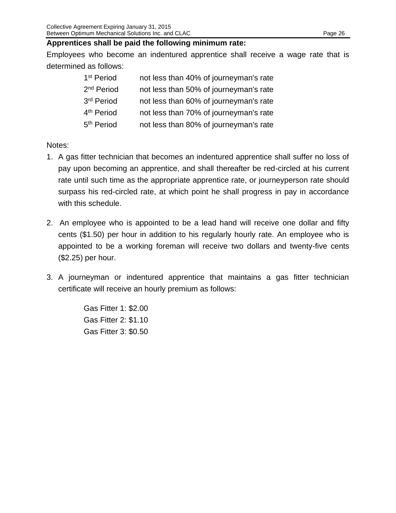#### **Apprentices shall be paid the following minimum rate:**

Employees who become an indentured apprentice shall receive a wage rate that is determined as follows:

| 1 <sup>st</sup> Period | not less than 40% of journeyman's rate |
|------------------------|----------------------------------------|
| 2 <sup>nd</sup> Period | not less than 50% of journeyman's rate |
| 3rd Period             | not less than 60% of journeyman's rate |
| 4 <sup>th</sup> Period | not less than 70% of journeyman's rate |
| 5 <sup>th</sup> Period | not less than 80% of journeyman's rate |

#### Notes:

- 1. A gas fitter technician that becomes an indentured apprentice shall suffer no loss of pay upon becoming an apprentice, and shall thereafter be red-circled at his current rate until such time as the appropriate apprentice rate, or journeyperson rate should surpass his red-circled rate, at which point he shall progress in pay in accordance with this schedule.
- 2. An employee who is appointed to be a lead hand will receive one dollar and fifty cents (\$1.50) per hour in addition to his regularly hourly rate. An employee who is appointed to be a working foreman will receive two dollars and twenty-five cents (\$2.25) per hour.
- 3. A journeyman or indentured apprentice that maintains a gas fitter technician certificate will receive an hourly premium as follows:

Gas Fitter 1: \$2.00 Gas Fitter 2: \$1.10 Gas Fitter 3: \$0.50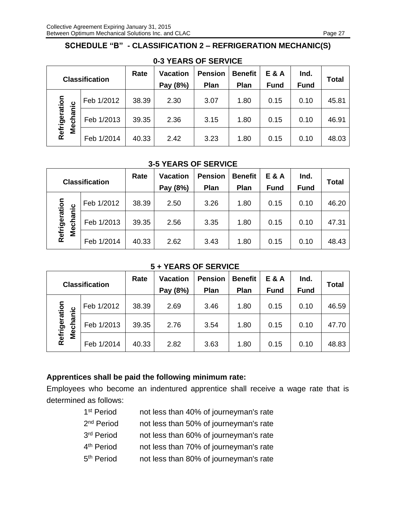# <span id="page-28-0"></span>**SCHEDULE "B" - CLASSIFICATION 2 – REFRIGERATION MECHANIC(S)**

|                                | <b>Classification</b> | Rate  | <b>Vacation</b><br>Pay (8%) | <b>Pension</b><br>Plan | <b>Benefit</b><br>Plan | <b>E&amp;A</b><br><b>Fund</b> | Ind.<br><b>Fund</b> | <b>Total</b> |
|--------------------------------|-----------------------|-------|-----------------------------|------------------------|------------------------|-------------------------------|---------------------|--------------|
|                                | Feb 1/2012            | 38.39 | 2.30                        | 3.07                   | 1.80                   | 0.15                          | 0.10                | 45.81        |
| Refrigeration<br>hanic<br>Mecl | Feb 1/2013            | 39.35 | 2.36                        | 3.15                   | 1.80                   | 0.15                          | 0.10                | 46.91        |
|                                | Feb 1/2014            | 40.33 | 2.42                        | 3.23                   | 1.80                   | 0.15                          | 0.10                | 48.03        |

# **0-3 YEARS OF SERVICE**

#### **3-5 YEARS OF SERVICE**

|                             | <b>Classification</b> | Rate  | <b>Vacation</b><br>Pay (8%) | <b>Pension</b><br>Plan | <b>Benefit</b><br>Plan | <b>E&amp;A</b><br><b>Fund</b> | Ind.<br><b>Fund</b> | Total |
|-----------------------------|-----------------------|-------|-----------------------------|------------------------|------------------------|-------------------------------|---------------------|-------|
|                             | Feb 1/2012            | 38.39 | 2.50                        | 3.26                   | 1.80                   | 0.15                          | 0.10                | 46.20 |
| Refrigeration<br>hanic<br>ठ | Feb 1/2013            | 39.35 | 2.56                        | 3.35                   | 1.80                   | 0.15                          | 0.10                | 47.31 |
| <b>Ne</b>                   | Feb 1/2014            | 40.33 | 2.62                        | 3.43                   | 1.80                   | 0.15                          | 0.10                | 48.43 |

#### **5 + YEARS OF SERVICE**

| <b>Classification</b>          |            | Rate  | <b>Vacation</b><br>Pay (8%) | <b>Pension</b><br>Plan | <b>Benefit</b><br>Plan | <b>E&amp;A</b><br><b>Fund</b> | Ind.<br><b>Fund</b> | <b>Total</b> |
|--------------------------------|------------|-------|-----------------------------|------------------------|------------------------|-------------------------------|---------------------|--------------|
|                                | Feb 1/2012 | 38.39 | 2.69                        | 3.46                   | 1.80                   | 0.15                          | 0.10                | 46.59        |
| Refrigeration<br>hanic<br>Meci | Feb 1/2013 | 39.35 | 2.76                        | 3.54                   | 1.80                   | 0.15                          | 0.10                | 47.70        |
|                                | Feb 1/2014 | 40.33 | 2.82                        | 3.63                   | 1.80                   | 0.15                          | 0.10                | 48.83        |

# **Apprentices shall be paid the following minimum rate:**

Employees who become an indentured apprentice shall receive a wage rate that is determined as follows:

| 1 <sup>st</sup> Period | not less than 40% of journeyman's rate |
|------------------------|----------------------------------------|
| 2 <sup>nd</sup> Period | not less than 50% of journeyman's rate |
| 3rd Period             | not less than 60% of journeyman's rate |
| 4 <sup>th</sup> Period | not less than 70% of journeyman's rate |
| 5 <sup>th</sup> Period | not less than 80% of journeyman's rate |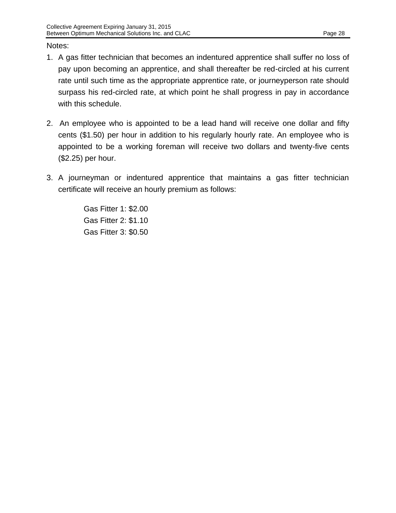#### Notes:

- 1. A gas fitter technician that becomes an indentured apprentice shall suffer no loss of pay upon becoming an apprentice, and shall thereafter be red-circled at his current rate until such time as the appropriate apprentice rate, or journeyperson rate should surpass his red-circled rate, at which point he shall progress in pay in accordance with this schedule.
- 2. An employee who is appointed to be a lead hand will receive one dollar and fifty cents (\$1.50) per hour in addition to his regularly hourly rate. An employee who is appointed to be a working foreman will receive two dollars and twenty-five cents (\$2.25) per hour.
- 3. A journeyman or indentured apprentice that maintains a gas fitter technician certificate will receive an hourly premium as follows:

Gas Fitter 1: \$2.00 Gas Fitter 2: \$1.10 Gas Fitter 3: \$0.50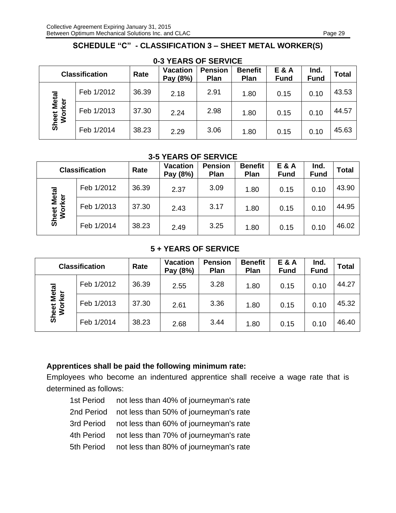# **SCHEDULE "C" - CLASSIFICATION 3 – SHEET METAL WORKER(S)**

<span id="page-30-0"></span>

| $V$ $V$ $I$ $E$ $N$ $N$ $V$ $V$ $I$ $V$ $I$ $V$ $I$ $V$ $I$ $V$ $I$ $V$ $I$ $V$ $I$ |            |       |                             |                        |                        |                      |                     |              |  |  |
|-------------------------------------------------------------------------------------|------------|-------|-----------------------------|------------------------|------------------------|----------------------|---------------------|--------------|--|--|
| <b>Classification</b>                                                               |            | Rate  | <b>Vacation</b><br>Pay (8%) | <b>Pension</b><br>Plan | <b>Benefit</b><br>Plan | E & A<br><b>Fund</b> | Ind.<br><b>Fund</b> | <b>Total</b> |  |  |
|                                                                                     | Feb 1/2012 | 36.39 | 2.18                        | 2.91                   | 1.80                   | 0.15                 | 0.10                | 43.53        |  |  |
| <b>Sheet Metal</b><br>Worker                                                        | Feb 1/2013 | 37.30 | 2.24                        | 2.98                   | 1.80                   | 0.15                 | 0.10                | 44.57        |  |  |
|                                                                                     | Feb 1/2014 | 38.23 | 2.29                        | 3.06                   | 1.80                   | 0.15                 | 0.10                | 45.63        |  |  |

#### **0-3 YEARS OF SERVICE**

#### **3-5 YEARS OF SERVICE**

| <b>Classification</b> |            | Rate  | <b>Vacation</b><br>Pay (8%) | <b>Pension</b><br>Plan | <b>Benefit</b><br>Plan | <b>E&amp;A</b><br><b>Fund</b> | Ind.<br><b>Fund</b> | <b>Total</b> |
|-----------------------|------------|-------|-----------------------------|------------------------|------------------------|-------------------------------|---------------------|--------------|
|                       | Feb 1/2012 | 36.39 | 2.37                        | 3.09                   | 1.80                   | 0.15                          | 0.10                | 43.90        |
| Sheet Metal<br>Worker | Feb 1/2013 | 37.30 | 2.43                        | 3.17                   | 1.80                   | 0.15                          | 0.10                | 44.95        |
|                       | Feb 1/2014 | 38.23 | 2.49                        | 3.25                   | 1.80                   | 0.15                          | 0.10                | 46.02        |

#### **5 + YEARS OF SERVICE**

| <b>Classification</b> |            | Rate  | <b>Vacation</b><br>Pay (8%) | <b>Pension</b><br>Plan | <b>Benefit</b><br>Plan | E & A<br><b>Fund</b> | Ind.<br><b>Fund</b> | <b>Total</b> |
|-----------------------|------------|-------|-----------------------------|------------------------|------------------------|----------------------|---------------------|--------------|
|                       | Feb 1/2012 | 36.39 | 2.55                        | 3.28                   | 1.80                   | 0.15                 | 0.10                | 44.27        |
| Metal<br>rker         | Feb 1/2013 | 37.30 | 2.61                        | 3.36                   | 1.80                   | 0.15                 | 0.10                | 45.32        |
| Sheet<br>Wor          | Feb 1/2014 | 38.23 | 2.68                        | 3.44                   | 1.80                   | 0.15                 | 0.10                | 46.40        |

## **Apprentices shall be paid the following minimum rate:**

Employees who become an indentured apprentice shall receive a wage rate that is determined as follows:

- 1st Period not less than 40% of journeyman's rate
- 2nd Period not less than 50% of journeyman's rate
- 3rd Period not less than 60% of journeyman's rate
- 4th Period not less than 70% of journeyman's rate
- 5th Period not less than 80% of journeyman's rate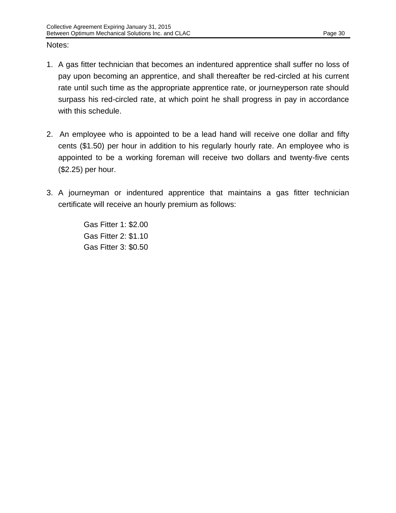#### Notes:

- 1. A gas fitter technician that becomes an indentured apprentice shall suffer no loss of pay upon becoming an apprentice, and shall thereafter be red-circled at his current rate until such time as the appropriate apprentice rate, or journeyperson rate should surpass his red-circled rate, at which point he shall progress in pay in accordance with this schedule.
- 2. An employee who is appointed to be a lead hand will receive one dollar and fifty cents (\$1.50) per hour in addition to his regularly hourly rate. An employee who is appointed to be a working foreman will receive two dollars and twenty-five cents (\$2.25) per hour.
- 3. A journeyman or indentured apprentice that maintains a gas fitter technician certificate will receive an hourly premium as follows:

Gas Fitter 1: \$2.00 Gas Fitter 2: \$1.10 Gas Fitter 3: \$0.50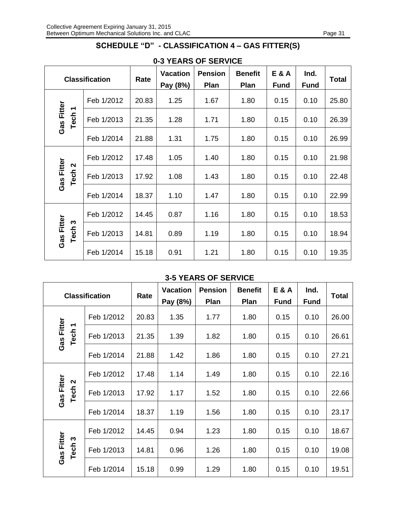# **SCHEDULE "D" - CLASSIFICATION 4 – GAS FITTER(S)**

<span id="page-32-0"></span>

|                                                 |            |       | $I$ bay<br><b>Vacation</b> | ◡.<br>$V = V V V +$<br><b>Pension</b> | <b>Benefit</b> | <b>E&amp;A</b> | Ind.        |              |
|-------------------------------------------------|------------|-------|----------------------------|---------------------------------------|----------------|----------------|-------------|--------------|
| <b>Classification</b>                           |            | Rate  | Pay (8%)                   | Plan                                  | Plan           | <b>Fund</b>    | <b>Fund</b> | <b>Total</b> |
| <b>Gas Fitter</b><br>Tech <sub>1</sub>          | Feb 1/2012 | 20.83 | 1.25                       | 1.67                                  | 1.80           | 0.15           | 0.10        | 25.80        |
|                                                 | Feb 1/2013 | 21.35 | 1.28                       | 1.71                                  | 1.80           | 0.15           | 0.10        | 26.39        |
|                                                 | Feb 1/2014 | 21.88 | 1.31                       | 1.75                                  | 1.80           | 0.15           | 0.10        | 26.99        |
| Gas Fitter<br>$\boldsymbol{\mathsf{N}}$<br>Tech | Feb 1/2012 | 17.48 | 1.05                       | 1.40                                  | 1.80           | 0.15           | 0.10        | 21.98        |
|                                                 | Feb 1/2013 | 17.92 | 1.08                       | 1.43                                  | 1.80           | 0.15           | 0.10        | 22.48        |
|                                                 | Feb 1/2014 | 18.37 | 1.10                       | 1.47                                  | 1.80           | 0.15           | 0.10        | 22.99        |
| Gas Fitter<br>Tech <sub>3</sub>                 | Feb 1/2012 | 14.45 | 0.87                       | 1.16                                  | 1.80           | 0.15           | 0.10        | 18.53        |
|                                                 | Feb 1/2013 | 14.81 | 0.89                       | 1.19                                  | 1.80           | 0.15           | 0.10        | 18.94        |
|                                                 | Feb 1/2014 | 15.18 | 0.91                       | 1.21                                  | 1.80           | 0.15           | 0.10        | 19.35        |

## **0-3 YEARS OF SERVICE**

#### **3-5 YEARS OF SERVICE**

| <b>Classification</b>           |                   | Rate       | <b>Vacation</b><br>Pay (8%) | <b>Pension</b><br>Plan | <b>Benefit</b><br>Plan | <b>E&amp;A</b><br><b>Fund</b> | Ind.<br><b>Fund</b> | Total |       |
|---------------------------------|-------------------|------------|-----------------------------|------------------------|------------------------|-------------------------------|---------------------|-------|-------|
|                                 |                   | Feb 1/2012 | 20.83                       | 1.35                   | 1.77                   | 1.80                          | 0.15                | 0.10  | 26.00 |
| Gas Fitter                      | Tech <sub>1</sub> | Feb 1/2013 | 21.35                       | 1.39                   | 1.82                   | 1.80                          | 0.15                | 0.10  | 26.61 |
|                                 |                   | Feb 1/2014 | 21.88                       | 1.42                   | 1.86                   | 1.80                          | 0.15                | 0.10  | 27.21 |
|                                 |                   | Feb 1/2012 | 17.48                       | 1.14                   | 1.49                   | 1.80                          | 0.15                | 0.10  | 22.16 |
| Gas Fitter<br>Tech <sub>2</sub> |                   | Feb 1/2013 | 17.92                       | 1.17                   | 1.52                   | 1.80                          | 0.15                | 0.10  | 22.66 |
|                                 |                   | Feb 1/2014 | 18.37                       | 1.19                   | 1.56                   | 1.80                          | 0.15                | 0.10  | 23.17 |
|                                 |                   | Feb 1/2012 | 14.45                       | 0.94                   | 1.23                   | 1.80                          | 0.15                | 0.10  | 18.67 |
| Gas Fitter<br>Tech <sub>3</sub> |                   | Feb 1/2013 | 14.81                       | 0.96                   | 1.26                   | 1.80                          | 0.15                | 0.10  | 19.08 |
|                                 |                   | Feb 1/2014 | 15.18                       | 0.99                   | 1.29                   | 1.80                          | 0.15                | 0.10  | 19.51 |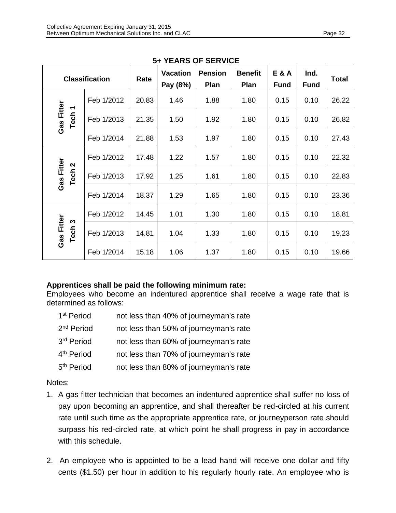| יש טורביו                                       |                       |       |                             |                        |                        |                               |                     |              |
|-------------------------------------------------|-----------------------|-------|-----------------------------|------------------------|------------------------|-------------------------------|---------------------|--------------|
|                                                 | <b>Classification</b> | Rate  | <b>Vacation</b><br>Pay (8%) | <b>Pension</b><br>Plan | <b>Benefit</b><br>Plan | <b>E&amp;A</b><br><b>Fund</b> | Ind.<br><b>Fund</b> | <b>Total</b> |
| Gas Fitter<br>Tech <sub>1</sub>                 | Feb 1/2012            | 20.83 | 1.46                        | 1.88                   | 1.80                   | 0.15                          | 0.10                | 26.22        |
|                                                 | Feb 1/2013            | 21.35 | 1.50                        | 1.92                   | 1.80                   | 0.15                          | 0.10                | 26.82        |
|                                                 | Feb 1/2014            | 21.88 | 1.53                        | 1.97                   | 1.80                   | 0.15                          | 0.10                | 27.43        |
| Gas Fitter<br>$\boldsymbol{\mathsf{N}}$<br>Tech | Feb 1/2012            | 17.48 | 1.22                        | 1.57                   | 1.80                   | 0.15                          | 0.10                | 22.32        |
|                                                 | Feb 1/2013            | 17.92 | 1.25                        | 1.61                   | 1.80                   | 0.15                          | 0.10                | 22.83        |
|                                                 | Feb 1/2014            | 18.37 | 1.29                        | 1.65                   | 1.80                   | 0.15                          | 0.10                | 23.36        |
| Gas Fitter<br>Tech <sub>3</sub>                 | Feb 1/2012            | 14.45 | 1.01                        | 1.30                   | 1.80                   | 0.15                          | 0.10                | 18.81        |
|                                                 | Feb 1/2013            | 14.81 | 1.04                        | 1.33                   | 1.80                   | 0.15                          | 0.10                | 19.23        |
|                                                 | Feb 1/2014            | 15.18 | 1.06                        | 1.37                   | 1.80                   | 0.15                          | 0.10                | 19.66        |

## **5+ YEARS OF SERVICE**

#### **Apprentices shall be paid the following minimum rate:**

Employees who become an indentured apprentice shall receive a wage rate that is determined as follows:

| 1 <sup>st</sup> Period | not less than 40% of journeyman's rate |
|------------------------|----------------------------------------|
| 2 <sup>nd</sup> Period | not less than 50% of journeyman's rate |
| 3rd Period             | not less than 60% of journeyman's rate |
| 4 <sup>th</sup> Period | not less than 70% of journeyman's rate |
| 5 <sup>th</sup> Period | not less than 80% of journeyman's rate |

## Notes:

- 1. A gas fitter technician that becomes an indentured apprentice shall suffer no loss of pay upon becoming an apprentice, and shall thereafter be red-circled at his current rate until such time as the appropriate apprentice rate, or journeyperson rate should surpass his red-circled rate, at which point he shall progress in pay in accordance with this schedule.
- 2. An employee who is appointed to be a lead hand will receive one dollar and fifty cents (\$1.50) per hour in addition to his regularly hourly rate. An employee who is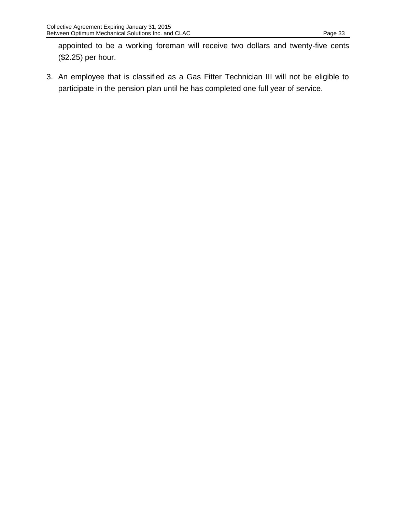appointed to be a working foreman will receive two dollars and twenty-five cents (\$2.25) per hour.

3. An employee that is classified as a Gas Fitter Technician III will not be eligible to participate in the pension plan until he has completed one full year of service.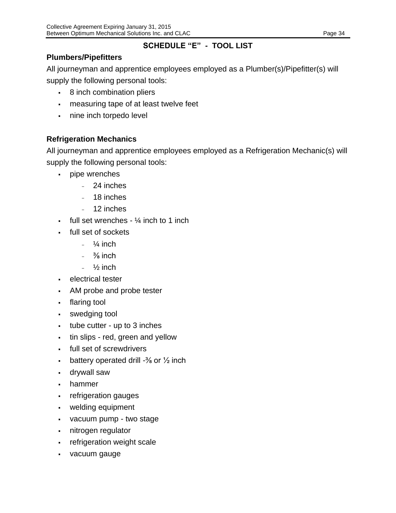# **SCHEDULE "E" - TOOL LIST**

# <span id="page-35-0"></span>**Plumbers/Pipefitters**

All journeyman and apprentice employees employed as a Plumber(s)/Pipefitter(s) will

supply the following personal tools:

- 8 inch combination pliers
- **measuring tape of at least twelve feet**
- nine inch torpedo level

# **Refrigeration Mechanics**

All journeyman and apprentice employees employed as a Refrigeration Mechanic(s) will supply the following personal tools:

- pipe wrenches
	- 24 inches
	- 18 inches
	- 12 inches
- full set wrenches  $\frac{1}{4}$  inch to 1 inch
- full set of sockets
	- $\frac{1}{4}$  inch
	- $\frac{3}{8}$  inch
	- $\frac{1}{2}$  inch
- electrical tester
- AM probe and probe tester
- flaring tool
- swedging tool
- $\cdot$  tube cutter up to 3 inches
- tin slips red, green and yellow
- full set of screwdrivers
- **•** battery operated drill  $-3/6$  or  $\frac{1}{2}$  inch
- drywall saw
- hammer
- refrigeration gauges
- welding equipment
- vacuum pump two stage
- nitrogen regulator
- refrigeration weight scale
- vacuum gauge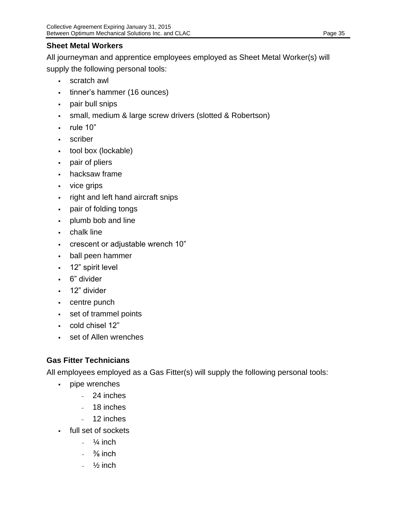All journeyman and apprentice employees employed as Sheet Metal Worker(s) will supply the following personal tools:

- scratch awl
- tinner's hammer (16 ounces)
- pair bull snips
- **EXECT** small, medium & large screw drivers (slotted & Robertson)
- $\blacksquare$  rule 10"
- scriber
- tool box (lockable)
- pair of pliers
- hacksaw frame
- vice grips
- right and left hand aircraft snips
- pair of folding tongs
- plumb bob and line
- chalk line
- crescent or adjustable wrench 10"
- ball peen hammer
- **12**" spirit level
- 6" divider
- 12" divider
- centre punch
- set of trammel points
- cold chisel 12"
- set of Allen wrenches

# **Gas Fitter Technicians**

All employees employed as a Gas Fitter(s) will supply the following personal tools:

- pipe wrenches
	- 24 inches
	- 18 inches
	- 12 inches
- full set of sockets
	- $\frac{1}{4}$  inch
	- $\frac{3}{8}$  inch
	- $\frac{1}{2}$  inch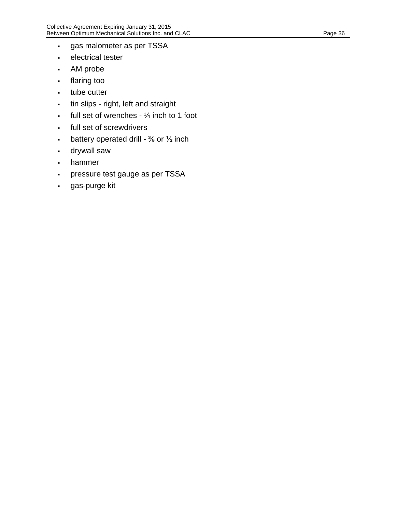- gas malometer as per TSSA
- electrical tester
- AM probe
- flaring too
- tube cutter
- tin slips right, left and straight
- $\cdot$  full set of wrenches  $\frac{1}{4}$  inch to 1 foot
- full set of screwdrivers
- **•** battery operated drill  $\frac{3}{8}$  or  $\frac{1}{2}$  inch
- drywall saw
- hammer
- pressure test gauge as per TSSA
- gas-purge kit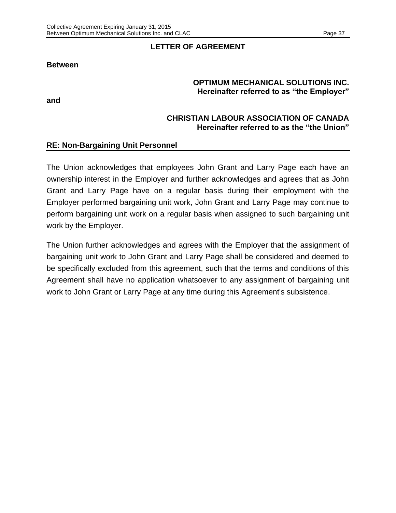#### **LETTER OF AGREEMENT**

#### <span id="page-38-0"></span>**Between**

#### **OPTIMUM MECHANICAL SOLUTIONS INC. Hereinafter referred to as "the Employer"**

**and**

#### **CHRISTIAN LABOUR ASSOCIATION OF CANADA Hereinafter referred to as the "the Union"**

#### **RE: Non-Bargaining Unit Personnel**

The Union acknowledges that employees John Grant and Larry Page each have an ownership interest in the Employer and further acknowledges and agrees that as John Grant and Larry Page have on a regular basis during their employment with the Employer performed bargaining unit work, John Grant and Larry Page may continue to perform bargaining unit work on a regular basis when assigned to such bargaining unit work by the Employer.

The Union further acknowledges and agrees with the Employer that the assignment of bargaining unit work to John Grant and Larry Page shall be considered and deemed to be specifically excluded from this agreement, such that the terms and conditions of this Agreement shall have no application whatsoever to any assignment of bargaining unit work to John Grant or Larry Page at any time during this Agreement's subsistence.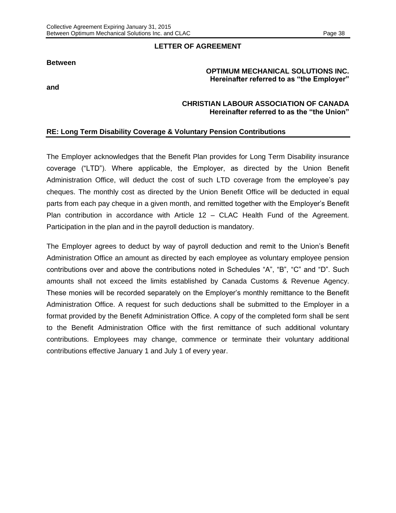#### **LETTER OF AGREEMENT**

#### **Between**

#### **OPTIMUM MECHANICAL SOLUTIONS INC. Hereinafter referred to as "the Employer"**

**and**

#### **CHRISTIAN LABOUR ASSOCIATION OF CANADA Hereinafter referred to as the "the Union"**

#### **RE: Long Term Disability Coverage & Voluntary Pension Contributions**

The Employer acknowledges that the Benefit Plan provides for Long Term Disability insurance coverage ("LTD"). Where applicable, the Employer, as directed by the Union Benefit Administration Office, will deduct the cost of such LTD coverage from the employee's pay cheques. The monthly cost as directed by the Union Benefit Office will be deducted in equal parts from each pay cheque in a given month, and remitted together with the Employer's Benefit Plan contribution in accordance with Article 12 – CLAC Health Fund of the Agreement. Participation in the plan and in the payroll deduction is mandatory.

The Employer agrees to deduct by way of payroll deduction and remit to the Union's Benefit Administration Office an amount as directed by each employee as voluntary employee pension contributions over and above the contributions noted in Schedules "A", "B", "C" and "D". Such amounts shall not exceed the limits established by Canada Customs & Revenue Agency. These monies will be recorded separately on the Employer's monthly remittance to the Benefit Administration Office. A request for such deductions shall be submitted to the Employer in a format provided by the Benefit Administration Office. A copy of the completed form shall be sent to the Benefit Administration Office with the first remittance of such additional voluntary contributions. Employees may change, commence or terminate their voluntary additional contributions effective January 1 and July 1 of every year.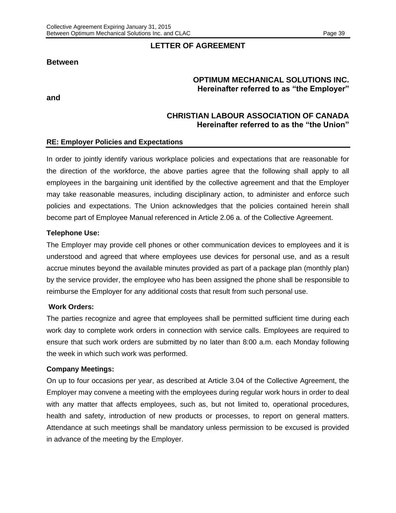#### **Between**

**and**

#### **LETTER OF AGREEMENT**

#### **OPTIMUM MECHANICAL SOLUTIONS INC. Hereinafter referred to as "the Employer"**

#### **CHRISTIAN LABOUR ASSOCIATION OF CANADA Hereinafter referred to as the "the Union"**

#### **RE: Employer Policies and Expectations**

In order to jointly identify various workplace policies and expectations that are reasonable for the direction of the workforce, the above parties agree that the following shall apply to all employees in the bargaining unit identified by the collective agreement and that the Employer may take reasonable measures, including disciplinary action, to administer and enforce such policies and expectations. The Union acknowledges that the policies contained herein shall become part of Employee Manual referenced in Article 2.06 a. of the Collective Agreement.

#### **Telephone Use:**

The Employer may provide cell phones or other communication devices to employees and it is understood and agreed that where employees use devices for personal use, and as a result accrue minutes beyond the available minutes provided as part of a package plan (monthly plan) by the service provider, the employee who has been assigned the phone shall be responsible to reimburse the Employer for any additional costs that result from such personal use.

#### **Work Orders:**

The parties recognize and agree that employees shall be permitted sufficient time during each work day to complete work orders in connection with service calls. Employees are required to ensure that such work orders are submitted by no later than 8:00 a.m. each Monday following the week in which such work was performed.

#### **Company Meetings:**

On up to four occasions per year, as described at Article 3.04 of the Collective Agreement, the Employer may convene a meeting with the employees during regular work hours in order to deal with any matter that affects employees, such as, but not limited to, operational procedures, health and safety, introduction of new products or processes, to report on general matters. Attendance at such meetings shall be mandatory unless permission to be excused is provided in advance of the meeting by the Employer.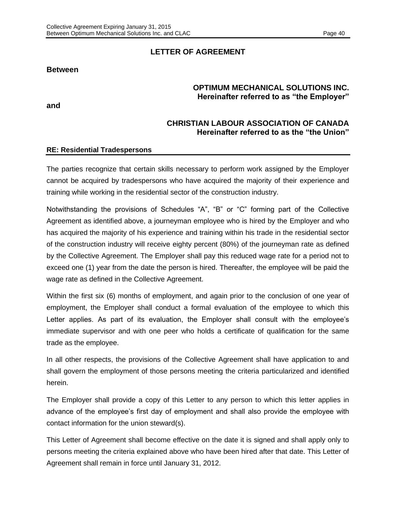#### **LETTER OF AGREEMENT**

#### **Between**

#### **OPTIMUM MECHANICAL SOLUTIONS INC. Hereinafter referred to as "the Employer"**

**and**

#### **CHRISTIAN LABOUR ASSOCIATION OF CANADA Hereinafter referred to as the "the Union"**

#### **RE: Residential Tradespersons**

The parties recognize that certain skills necessary to perform work assigned by the Employer cannot be acquired by tradespersons who have acquired the majority of their experience and training while working in the residential sector of the construction industry.

Notwithstanding the provisions of Schedules "A", "B" or "C" forming part of the Collective Agreement as identified above, a journeyman employee who is hired by the Employer and who has acquired the majority of his experience and training within his trade in the residential sector of the construction industry will receive eighty percent (80%) of the journeyman rate as defined by the Collective Agreement. The Employer shall pay this reduced wage rate for a period not to exceed one (1) year from the date the person is hired. Thereafter, the employee will be paid the wage rate as defined in the Collective Agreement.

Within the first six (6) months of employment, and again prior to the conclusion of one year of employment, the Employer shall conduct a formal evaluation of the employee to which this Letter applies. As part of its evaluation, the Employer shall consult with the employee's immediate supervisor and with one peer who holds a certificate of qualification for the same trade as the employee.

In all other respects, the provisions of the Collective Agreement shall have application to and shall govern the employment of those persons meeting the criteria particularized and identified herein.

The Employer shall provide a copy of this Letter to any person to which this letter applies in advance of the employee's first day of employment and shall also provide the employee with contact information for the union steward(s).

This Letter of Agreement shall become effective on the date it is signed and shall apply only to persons meeting the criteria explained above who have been hired after that date. This Letter of Agreement shall remain in force until January 31, 2012.